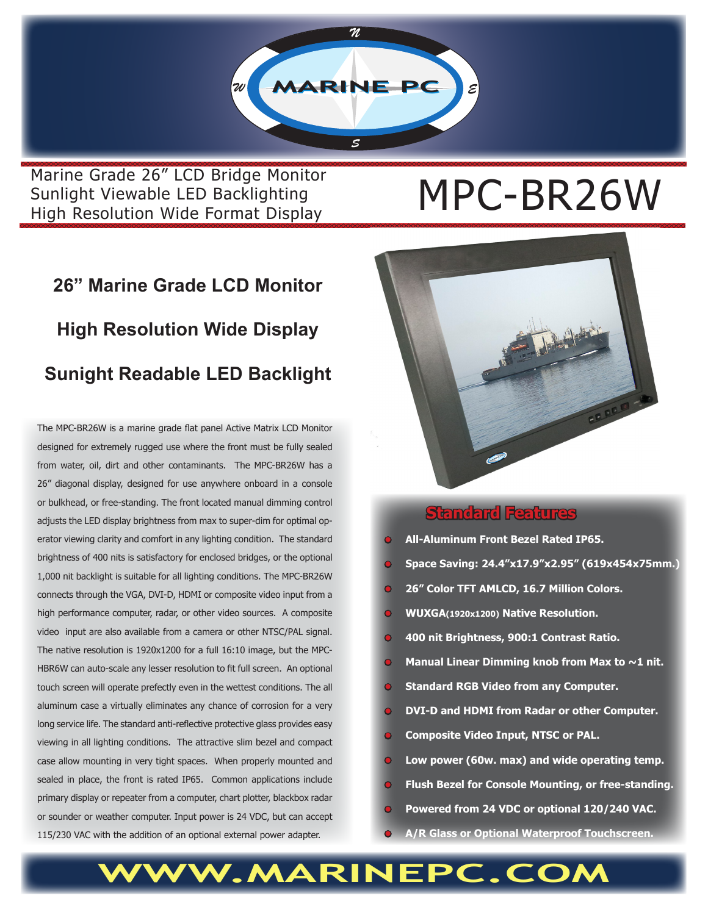

Marine Grade 26" LCD Bridge Monitor<br>Sunlight Viewable LED Backlighting<br>Wird British With English Construction Sunlight Viewable LED Backlighting High Resolution Wide Format Display

# **26" Marine Grade LCD Monitor High Resolution Wide Display Sunight Readable LED Backlight**

The MPC-BR26W is a marine grade flat panel Active Matrix LCD Monitor designed for extremely rugged use where the front must be fully sealed from water, oil, dirt and other contaminants. The MPC-BR26W has a 26" diagonal display, designed for use anywhere onboard in a console or bulkhead, or free-standing. The front located manual dimming control adjusts the LED display brightness from max to super-dim for optimal operator viewing clarity and comfort in any lighting condition. The standard brightness of 400 nits is satisfactory for enclosed bridges, or the optional 1,000 nit backlight is suitable for all lighting conditions. The MPC-BR26W connects through the VGA, DVI-D, HDMI or composite video input from a high performance computer, radar, or other video sources. A composite video input are also available from a camera or other NTSC/PAL signal. The native resolution is 1920x1200 for a full 16:10 image, but the MPC-HBR6W can auto-scale any lesser resolution to fit full screen. An optional touch screen will operate prefectly even in the wettest conditions. The all aluminum case a virtually eliminates any chance of corrosion for a very long service life. The standard anti-reflective protective glass provides easy viewing in all lighting conditions. The attractive slim bezel and compact case allow mounting in very tight spaces. When properly mounted and sealed in place, the front is rated IP65. Common applications include primary display or repeater from a computer, chart plotter, blackbox radar or sounder or weather computer. Input power is 24 VDC, but can accept 115/230 VAC with the addition of an optional external power adapter.



### **Standard Features**

- **• All-Aluminum Front Bezel Rated IP65.**
- **• Space Saving: 24.4"x17.9"x2.95" (619x454x75mm.)**
- **• 26" Color TFT AMLCD, 16.7 Million Colors.**
- **• WUXGA(1920x1200) Native Resolution.**
- **400 nit Brightness, 900:1 Contrast Ratio.**
- **Manual Linear Dimming knob from Max to ~1 nit.**
- **• Standard RGB Video from any Computer.**
- **• DVI-D and HDMI from Radar or other Computer.**
- **• Composite Video Input, NTSC or PAL.**
- **• Low power (60w. max) and wide operating temp.**
- **• Flush Bezel for Console Mounting, or free-standing.**
- **• Powered from 24 VDC or optional 120/240 VAC.**
- **• A/R Glass or Optional Waterproof Touchscreen.**

## WW.MARINEPC.CO